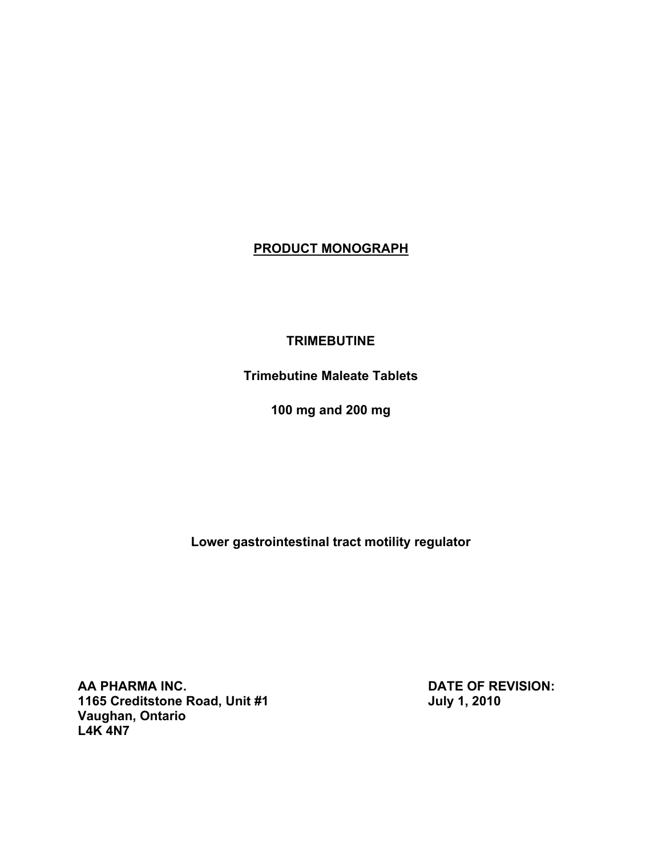# **PRODUCT MONOGRAPH**

## **TRIMEBUTINE**

**Trimebutine Maleate Tablets**

**100 mg and 200 mg**

**Lower gastrointestinal tract motility regulator**

AA PHARMA INC.<br>1165 Creditstone Road, Unit #1 **DATE OF REVISION:**<br>July 1, 2010 **1165 Creditstone Road, Unit #1 Vaughan, Ontario L4K 4N7**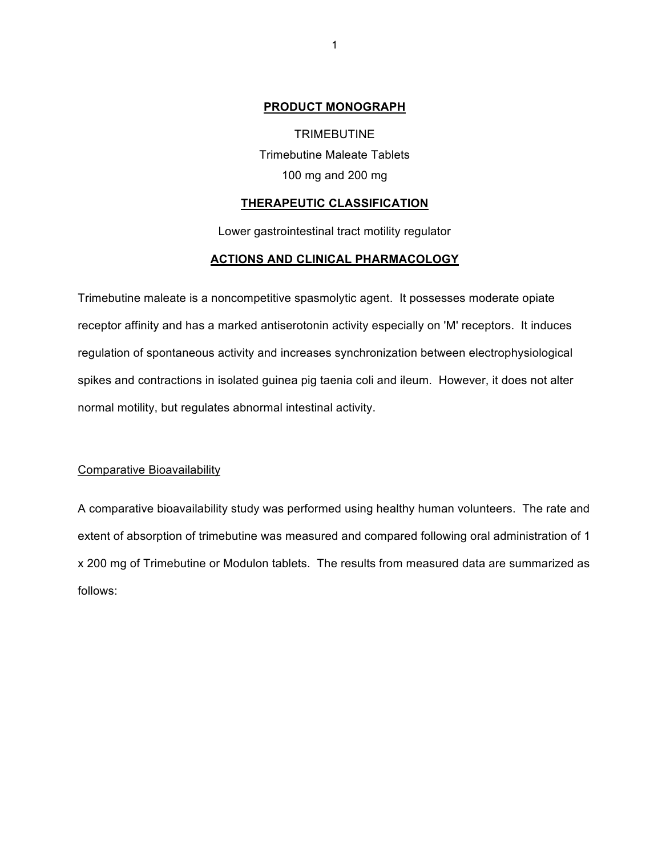### **PRODUCT MONOGRAPH**

TRIMEBUTINE Trimebutine Maleate Tablets 100 mg and 200 mg

## **THERAPEUTIC CLASSIFICATION**

Lower gastrointestinal tract motility regulator

## **ACTIONS AND CLINICAL PHARMACOLOGY**

Trimebutine maleate is a noncompetitive spasmolytic agent. It possesses moderate opiate receptor affinity and has a marked antiserotonin activity especially on 'M' receptors. It induces regulation of spontaneous activity and increases synchronization between electrophysiological spikes and contractions in isolated guinea pig taenia coli and ileum. However, it does not alter normal motility, but regulates abnormal intestinal activity.

### Comparative Bioavailability

A comparative bioavailability study was performed using healthy human volunteers. The rate and extent of absorption of trimebutine was measured and compared following oral administration of 1 x 200 mg of Trimebutine or Modulon tablets. The results from measured data are summarized as follows: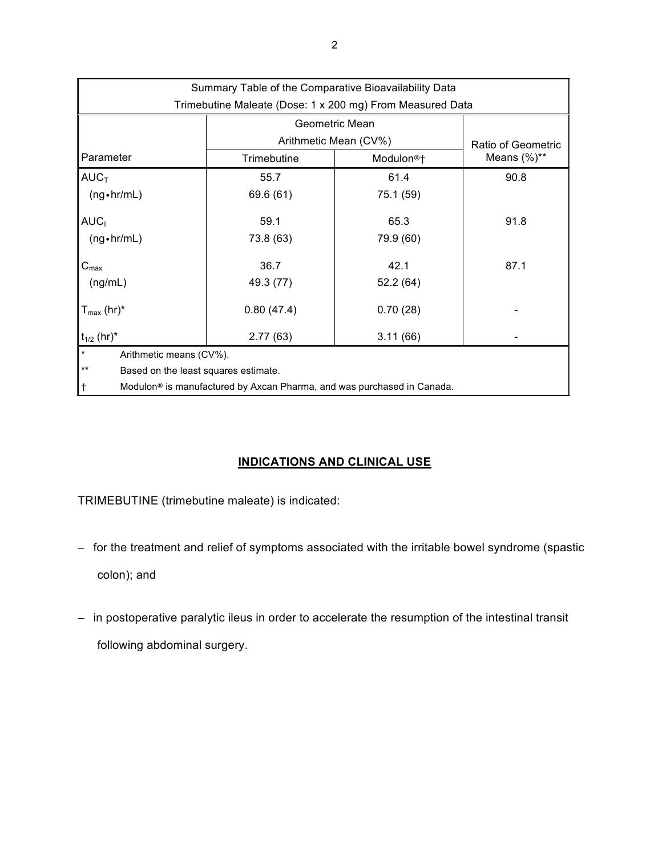| Summary Table of the Comparative Bioavailability Data                                           |                       |                       |                    |  |
|-------------------------------------------------------------------------------------------------|-----------------------|-----------------------|--------------------|--|
| Trimebutine Maleate (Dose: 1 x 200 mg) From Measured Data                                       |                       |                       |                    |  |
|                                                                                                 | Geometric Mean        |                       |                    |  |
|                                                                                                 | Arithmetic Mean (CV%) |                       | Ratio of Geometric |  |
| Parameter                                                                                       | Trimebutine           | Modulon <sup>®+</sup> | Means $(\%)^{**}$  |  |
| $AUC_T$                                                                                         | 55.7                  | 61.4                  | 90.8               |  |
| $(ng \cdot hr/mL)$                                                                              | 69.6 (61)             | 75.1 (59)             |                    |  |
| AUC <sub>I</sub>                                                                                | 59.1                  | 65.3                  | 91.8               |  |
| $(ng \cdot hr/mL)$                                                                              | 73.8 (63)             | 79.9 (60)             |                    |  |
| $C_{\text{max}}$                                                                                | 36.7                  | 42.1                  | 87.1               |  |
| (ng/mL)                                                                                         | 49.3 (77)             | 52.2(64)              |                    |  |
| $T_{\text{max}}$ (hr)*                                                                          | 0.80(47.4)            | 0.70(28)              |                    |  |
| $t_{1/2}$ (hr)*                                                                                 | 2.77(63)              | 3.11(66)              |                    |  |
| $\star$<br>Arithmetic means (CV%).                                                              |                       |                       |                    |  |
| $***$<br>Based on the least squares estimate.                                                   |                       |                       |                    |  |
| $\dagger$<br>Modulon <sup>®</sup> is manufactured by Axcan Pharma, and was purchased in Canada. |                       |                       |                    |  |

## **INDICATIONS AND CLINICAL USE**

TRIMEBUTINE (trimebutine maleate) is indicated:

– for the treatment and relief of symptoms associated with the irritable bowel syndrome (spastic

colon); and

– in postoperative paralytic ileus in order to accelerate the resumption of the intestinal transit following abdominal surgery.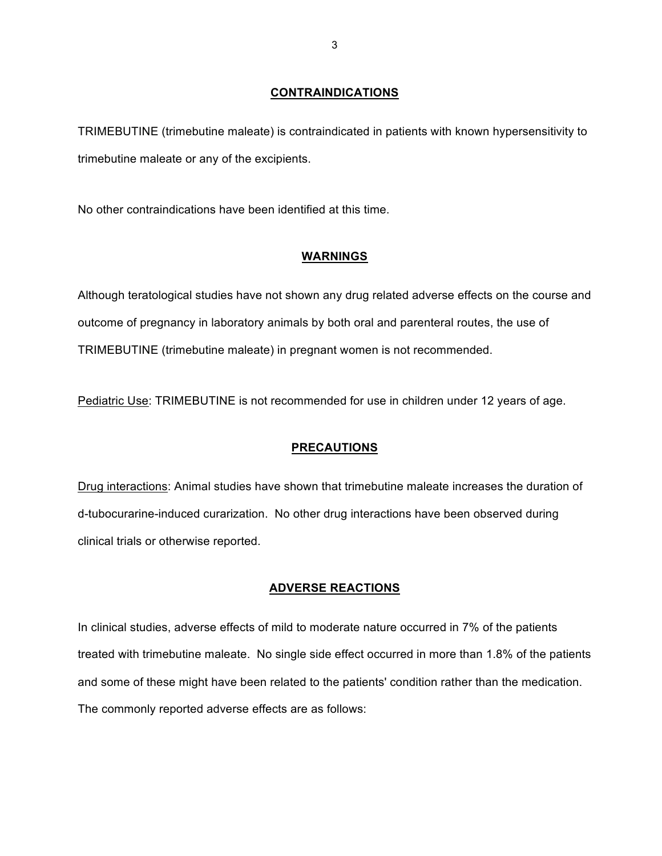## **CONTRAINDICATIONS**

TRIMEBUTINE (trimebutine maleate) is contraindicated in patients with known hypersensitivity to trimebutine maleate or any of the excipients.

No other contraindications have been identified at this time.

## **WARNINGS**

Although teratological studies have not shown any drug related adverse effects on the course and outcome of pregnancy in laboratory animals by both oral and parenteral routes, the use of TRIMEBUTINE (trimebutine maleate) in pregnant women is not recommended.

Pediatric Use: TRIMEBUTINE is not recommended for use in children under 12 years of age.

## **PRECAUTIONS**

Drug interactions: Animal studies have shown that trimebutine maleate increases the duration of d-tubocurarine-induced curarization. No other drug interactions have been observed during clinical trials or otherwise reported.

## **ADVERSE REACTIONS**

In clinical studies, adverse effects of mild to moderate nature occurred in 7% of the patients treated with trimebutine maleate. No single side effect occurred in more than 1.8% of the patients and some of these might have been related to the patients' condition rather than the medication. The commonly reported adverse effects are as follows: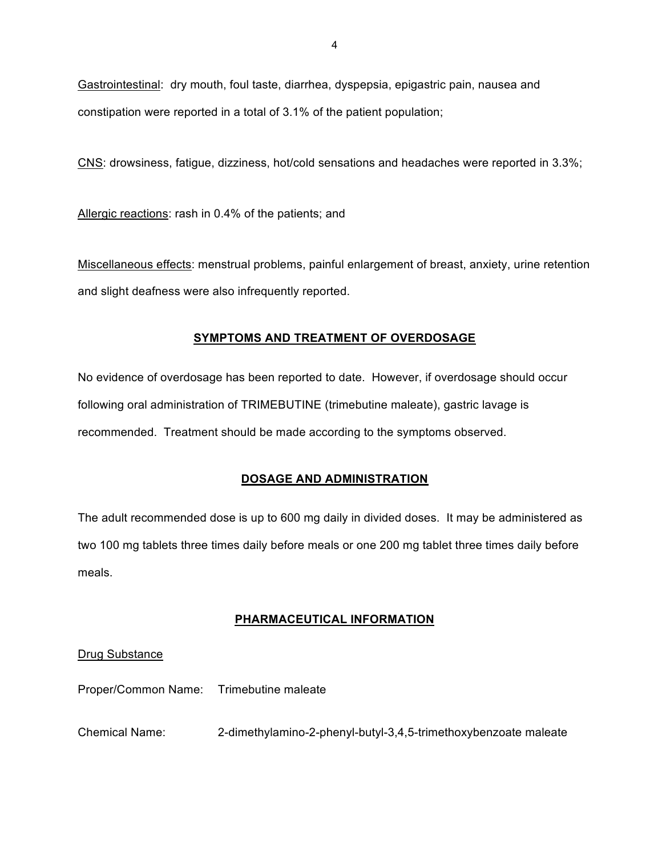Gastrointestinal: dry mouth, foul taste, diarrhea, dyspepsia, epigastric pain, nausea and constipation were reported in a total of 3.1% of the patient population;

CNS: drowsiness, fatigue, dizziness, hot/cold sensations and headaches were reported in 3.3%;

Allergic reactions: rash in 0.4% of the patients; and

Miscellaneous effects: menstrual problems, painful enlargement of breast, anxiety, urine retention and slight deafness were also infrequently reported.

## **SYMPTOMS AND TREATMENT OF OVERDOSAGE**

No evidence of overdosage has been reported to date. However, if overdosage should occur following oral administration of TRIMEBUTINE (trimebutine maleate), gastric lavage is recommended. Treatment should be made according to the symptoms observed.

## **DOSAGE AND ADMINISTRATION**

The adult recommended dose is up to 600 mg daily in divided doses. It may be administered as two 100 mg tablets three times daily before meals or one 200 mg tablet three times daily before meals.

## **PHARMACEUTICAL INFORMATION**

## Drug Substance

Proper/Common Name: Trimebutine maleate

Chemical Name: 2-dimethylamino-2-phenyl-butyl-3,4,5-trimethoxybenzoate maleate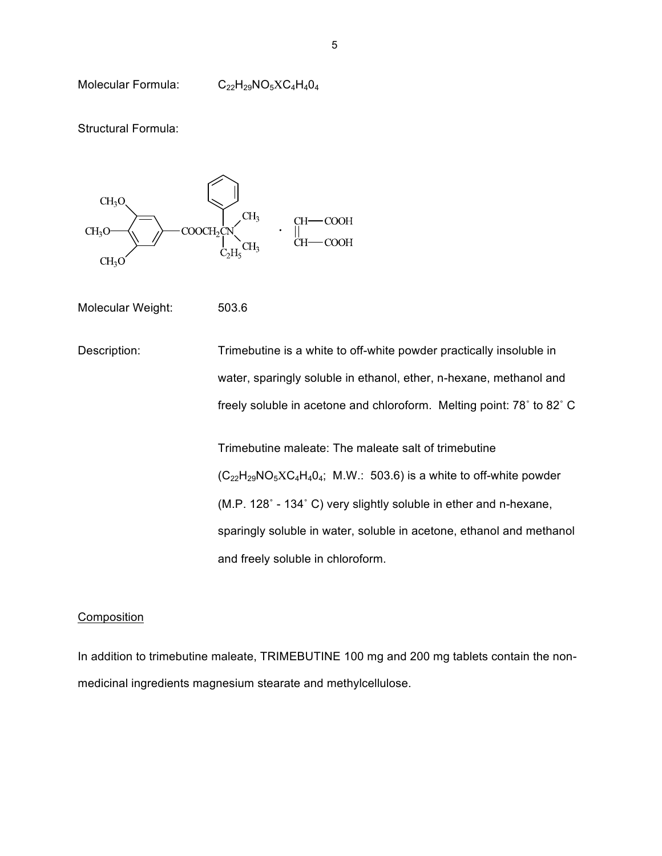Molecular Formula: C<sub>22</sub>H<sub>29</sub>NO<sub>5</sub>XC<sub>4</sub>H<sub>4</sub>0<sub>4</sub>

Structural Formula:



Molecular Weight: 503.6

Description: Trimebutine is a white to off-white powder practically insoluble in water, sparingly soluble in ethanol, ether, n-hexane, methanol and freely soluble in acetone and chloroform. Melting point: 78˚ to 82˚ C

> Trimebutine maleate: The maleate salt of trimebutine  $(C_{22}H_{29}NO_5XC_4H_4O_4$ ; M.W.: 503.6) is a white to off-white powder (M.P. 128˚ - 134˚ C) very slightly soluble in ether and n-hexane, sparingly soluble in water, soluble in acetone, ethanol and methanol and freely soluble in chloroform.

## Composition

In addition to trimebutine maleate, TRIMEBUTINE 100 mg and 200 mg tablets contain the nonmedicinal ingredients magnesium stearate and methylcellulose.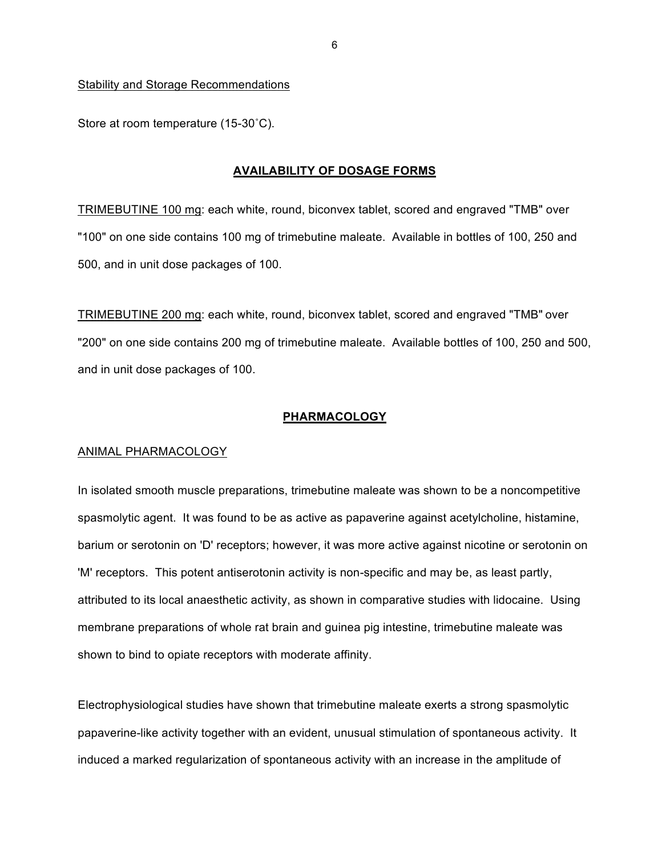#### Stability and Storage Recommendations

Store at room temperature (15-30˚C).

#### **AVAILABILITY OF DOSAGE FORMS**

TRIMEBUTINE 100 mg: each white, round, biconvex tablet, scored and engraved "TMB" over "100" on one side contains 100 mg of trimebutine maleate. Available in bottles of 100, 250 and 500, and in unit dose packages of 100.

TRIMEBUTINE 200 mg: each white, round, biconvex tablet, scored and engraved "TMB" over "200" on one side contains 200 mg of trimebutine maleate. Available bottles of 100, 250 and 500, and in unit dose packages of 100.

#### **PHARMACOLOGY**

#### ANIMAL PHARMACOLOGY

In isolated smooth muscle preparations, trimebutine maleate was shown to be a noncompetitive spasmolytic agent. It was found to be as active as papaverine against acetylcholine, histamine, barium or serotonin on 'D' receptors; however, it was more active against nicotine or serotonin on 'M' receptors. This potent antiserotonin activity is non-specific and may be, as least partly, attributed to its local anaesthetic activity, as shown in comparative studies with lidocaine. Using membrane preparations of whole rat brain and guinea pig intestine, trimebutine maleate was shown to bind to opiate receptors with moderate affinity.

Electrophysiological studies have shown that trimebutine maleate exerts a strong spasmolytic papaverine-like activity together with an evident, unusual stimulation of spontaneous activity. It induced a marked regularization of spontaneous activity with an increase in the amplitude of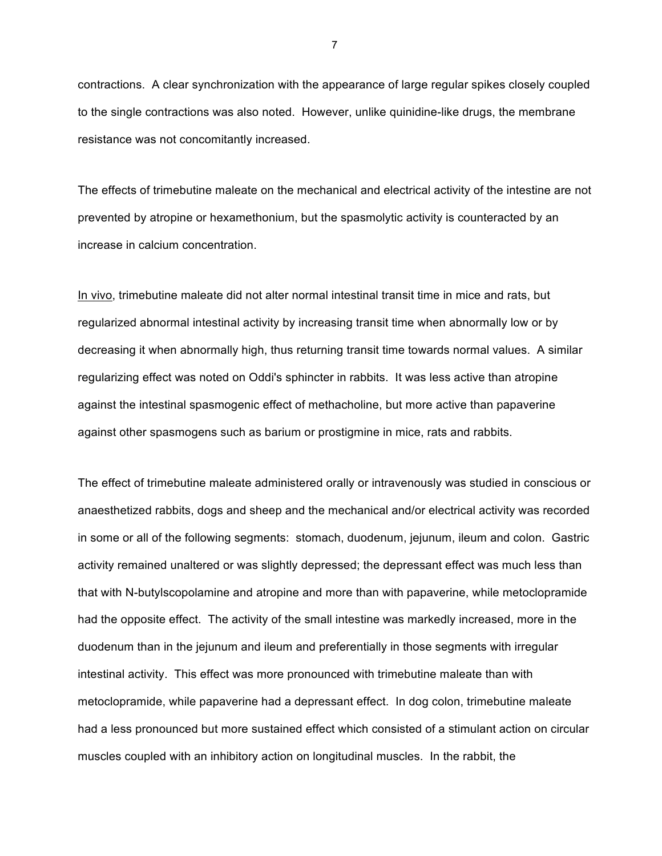contractions. A clear synchronization with the appearance of large regular spikes closely coupled to the single contractions was also noted. However, unlike quinidine-like drugs, the membrane resistance was not concomitantly increased.

The effects of trimebutine maleate on the mechanical and electrical activity of the intestine are not prevented by atropine or hexamethonium, but the spasmolytic activity is counteracted by an increase in calcium concentration.

In vivo, trimebutine maleate did not alter normal intestinal transit time in mice and rats, but regularized abnormal intestinal activity by increasing transit time when abnormally low or by decreasing it when abnormally high, thus returning transit time towards normal values. A similar regularizing effect was noted on Oddi's sphincter in rabbits. It was less active than atropine against the intestinal spasmogenic effect of methacholine, but more active than papaverine against other spasmogens such as barium or prostigmine in mice, rats and rabbits.

The effect of trimebutine maleate administered orally or intravenously was studied in conscious or anaesthetized rabbits, dogs and sheep and the mechanical and/or electrical activity was recorded in some or all of the following segments: stomach, duodenum, jejunum, ileum and colon. Gastric activity remained unaltered or was slightly depressed; the depressant effect was much less than that with N-butylscopolamine and atropine and more than with papaverine, while metoclopramide had the opposite effect. The activity of the small intestine was markedly increased, more in the duodenum than in the jejunum and ileum and preferentially in those segments with irregular intestinal activity. This effect was more pronounced with trimebutine maleate than with metoclopramide, while papaverine had a depressant effect. In dog colon, trimebutine maleate had a less pronounced but more sustained effect which consisted of a stimulant action on circular muscles coupled with an inhibitory action on longitudinal muscles. In the rabbit, the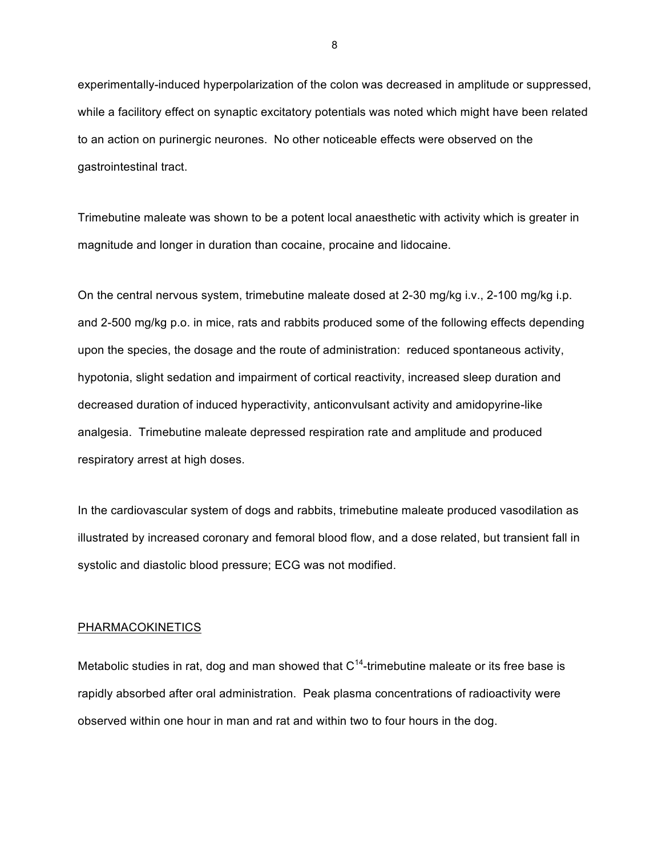experimentally-induced hyperpolarization of the colon was decreased in amplitude or suppressed, while a facilitory effect on synaptic excitatory potentials was noted which might have been related to an action on purinergic neurones. No other noticeable effects were observed on the gastrointestinal tract.

Trimebutine maleate was shown to be a potent local anaesthetic with activity which is greater in magnitude and longer in duration than cocaine, procaine and lidocaine.

On the central nervous system, trimebutine maleate dosed at 2-30 mg/kg i.v., 2-100 mg/kg i.p. and 2-500 mg/kg p.o. in mice, rats and rabbits produced some of the following effects depending upon the species, the dosage and the route of administration: reduced spontaneous activity, hypotonia, slight sedation and impairment of cortical reactivity, increased sleep duration and decreased duration of induced hyperactivity, anticonvulsant activity and amidopyrine-like analgesia. Trimebutine maleate depressed respiration rate and amplitude and produced respiratory arrest at high doses.

In the cardiovascular system of dogs and rabbits, trimebutine maleate produced vasodilation as illustrated by increased coronary and femoral blood flow, and a dose related, but transient fall in systolic and diastolic blood pressure; ECG was not modified.

#### PHARMACOKINETICS

Metabolic studies in rat, dog and man showed that  $C<sup>14</sup>$ -trimebutine maleate or its free base is rapidly absorbed after oral administration. Peak plasma concentrations of radioactivity were observed within one hour in man and rat and within two to four hours in the dog.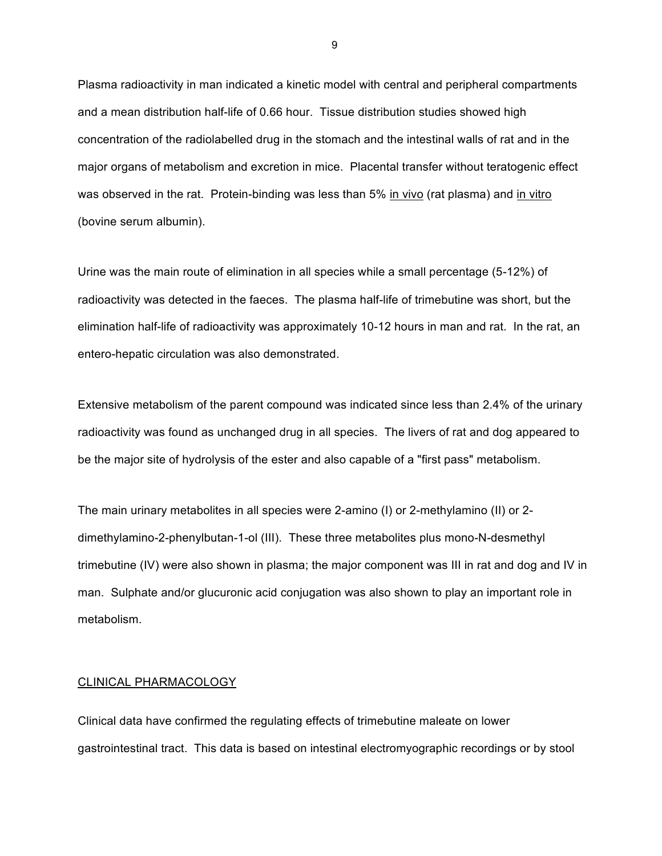Plasma radioactivity in man indicated a kinetic model with central and peripheral compartments and a mean distribution half-life of 0.66 hour. Tissue distribution studies showed high concentration of the radiolabelled drug in the stomach and the intestinal walls of rat and in the major organs of metabolism and excretion in mice. Placental transfer without teratogenic effect was observed in the rat. Protein-binding was less than 5% in vivo (rat plasma) and in vitro (bovine serum albumin).

Urine was the main route of elimination in all species while a small percentage (5-12%) of radioactivity was detected in the faeces. The plasma half-life of trimebutine was short, but the elimination half-life of radioactivity was approximately 10-12 hours in man and rat. In the rat, an entero-hepatic circulation was also demonstrated.

Extensive metabolism of the parent compound was indicated since less than 2.4% of the urinary radioactivity was found as unchanged drug in all species. The livers of rat and dog appeared to be the major site of hydrolysis of the ester and also capable of a "first pass" metabolism.

The main urinary metabolites in all species were 2-amino (I) or 2-methylamino (II) or 2 dimethylamino-2-phenylbutan-1-ol (III). These three metabolites plus mono-N-desmethyl trimebutine (IV) were also shown in plasma; the major component was III in rat and dog and IV in man. Sulphate and/or glucuronic acid conjugation was also shown to play an important role in metabolism.

#### CLINICAL PHARMACOLOGY

Clinical data have confirmed the regulating effects of trimebutine maleate on lower gastrointestinal tract. This data is based on intestinal electromyographic recordings or by stool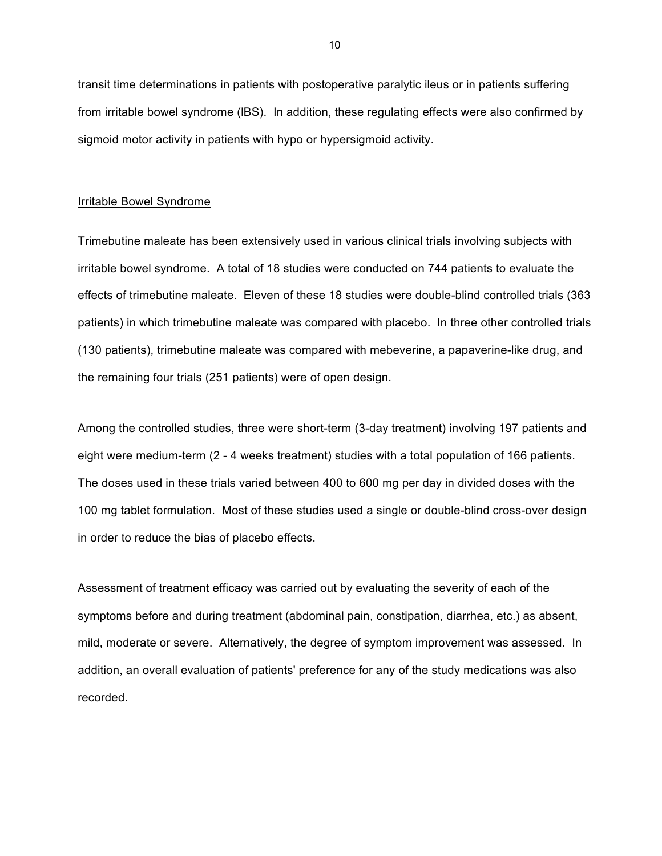transit time determinations in patients with postoperative paralytic ileus or in patients suffering from irritable bowel syndrome (lBS). In addition, these regulating effects were also confirmed by sigmoid motor activity in patients with hypo or hypersigmoid activity.

## Irritable Bowel Syndrome

Trimebutine maleate has been extensively used in various clinical trials involving subjects with irritable bowel syndrome. A total of 18 studies were conducted on 744 patients to evaluate the effects of trimebutine maleate. Eleven of these 18 studies were double-blind controlled trials (363 patients) in which trimebutine maleate was compared with placebo. In three other controlled trials (130 patients), trimebutine maleate was compared with mebeverine, a papaverine-like drug, and the remaining four trials (251 patients) were of open design.

Among the controlled studies, three were short-term (3-day treatment) involving 197 patients and eight were medium-term (2 - 4 weeks treatment) studies with a total population of 166 patients. The doses used in these trials varied between 400 to 600 mg per day in divided doses with the 100 mg tablet formulation. Most of these studies used a single or double-blind cross-over design in order to reduce the bias of placebo effects.

Assessment of treatment efficacy was carried out by evaluating the severity of each of the symptoms before and during treatment (abdominal pain, constipation, diarrhea, etc.) as absent, mild, moderate or severe. Alternatively, the degree of symptom improvement was assessed. In addition, an overall evaluation of patients' preference for any of the study medications was also recorded.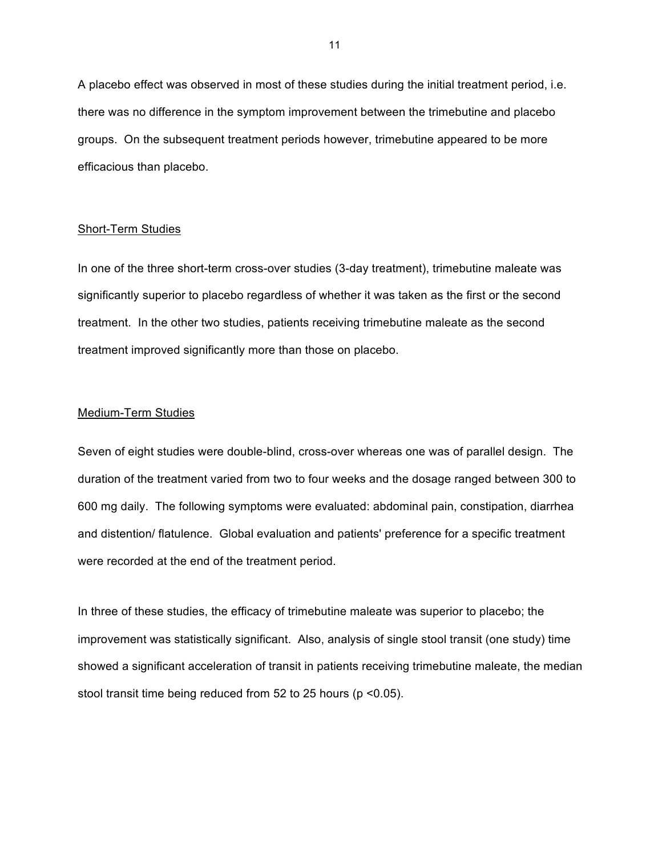A placebo effect was observed in most of these studies during the initial treatment period, i.e. there was no difference in the symptom improvement between the trimebutine and placebo groups. On the subsequent treatment periods however, trimebutine appeared to be more efficacious than placebo.

#### Short-Term Studies

In one of the three short-term cross-over studies (3-day treatment), trimebutine maleate was significantly superior to placebo regardless of whether it was taken as the first or the second treatment. In the other two studies, patients receiving trimebutine maleate as the second treatment improved significantly more than those on placebo.

### Medium-Term Studies

Seven of eight studies were double-blind, cross-over whereas one was of parallel design. The duration of the treatment varied from two to four weeks and the dosage ranged between 300 to 600 mg daily. The following symptoms were evaluated: abdominal pain, constipation, diarrhea and distention/ flatulence. Global evaluation and patients' preference for a specific treatment were recorded at the end of the treatment period.

In three of these studies, the efficacy of trimebutine maleate was superior to placebo; the improvement was statistically significant. Also, analysis of single stool transit (one study) time showed a significant acceleration of transit in patients receiving trimebutine maleate, the median stool transit time being reduced from 52 to 25 hours (p <0.05).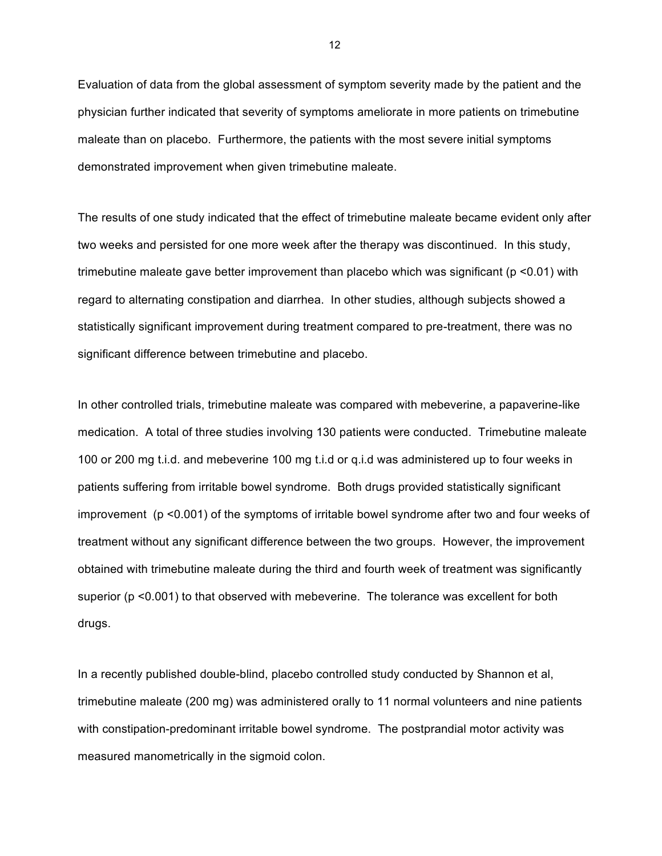Evaluation of data from the global assessment of symptom severity made by the patient and the physician further indicated that severity of symptoms ameliorate in more patients on trimebutine maleate than on placebo. Furthermore, the patients with the most severe initial symptoms demonstrated improvement when given trimebutine maleate.

The results of one study indicated that the effect of trimebutine maleate became evident only after two weeks and persisted for one more week after the therapy was discontinued. In this study, trimebutine maleate gave better improvement than placebo which was significant (p <0.01) with regard to alternating constipation and diarrhea. In other studies, although subjects showed a statistically significant improvement during treatment compared to pre-treatment, there was no significant difference between trimebutine and placebo.

In other controlled trials, trimebutine maleate was compared with mebeverine, a papaverine-like medication. A total of three studies involving 130 patients were conducted. Trimebutine maleate 100 or 200 mg t.i.d. and mebeverine 100 mg t.i.d or q.i.d was administered up to four weeks in patients suffering from irritable bowel syndrome. Both drugs provided statistically significant improvement (p <0.001) of the symptoms of irritable bowel syndrome after two and four weeks of treatment without any significant difference between the two groups. However, the improvement obtained with trimebutine maleate during the third and fourth week of treatment was significantly superior (p <0.001) to that observed with mebeverine. The tolerance was excellent for both drugs.

In a recently published double-blind, placebo controlled study conducted by Shannon et al, trimebutine maleate (200 mg) was administered orally to 11 normal volunteers and nine patients with constipation-predominant irritable bowel syndrome. The postprandial motor activity was measured manometrically in the sigmoid colon.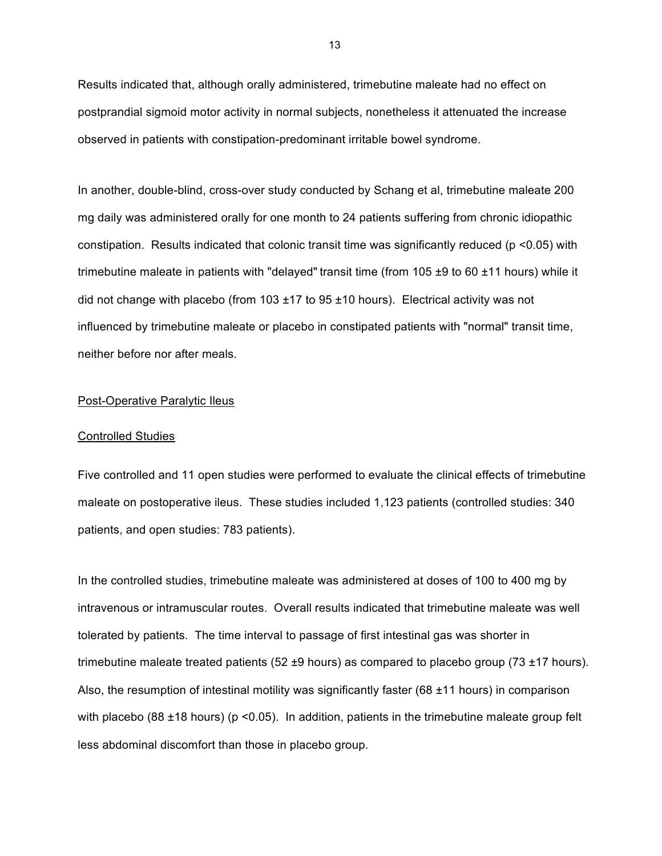Results indicated that, although orally administered, trimebutine maleate had no effect on postprandial sigmoid motor activity in normal subjects, nonetheless it attenuated the increase observed in patients with constipation-predominant irritable bowel syndrome.

In another, double-blind, cross-over study conducted by Schang et al, trimebutine maleate 200 mg daily was administered orally for one month to 24 patients suffering from chronic idiopathic constipation. Results indicated that colonic transit time was significantly reduced (p <0.05) with trimebutine maleate in patients with "delayed" transit time (from 105 ±9 to 60 ±11 hours) while it did not change with placebo (from  $103 \pm 17$  to  $95 \pm 10$  hours). Electrical activity was not influenced by trimebutine maleate or placebo in constipated patients with "normal" transit time, neither before nor after meals.

#### Post-Operative Paralytic Ileus

#### Controlled Studies

Five controlled and 11 open studies were performed to evaluate the clinical effects of trimebutine maleate on postoperative ileus. These studies included 1,123 patients (controlled studies: 340 patients, and open studies: 783 patients).

In the controlled studies, trimebutine maleate was administered at doses of 100 to 400 mg by intravenous or intramuscular routes. Overall results indicated that trimebutine maleate was well tolerated by patients. The time interval to passage of first intestinal gas was shorter in trimebutine maleate treated patients (52  $\pm$ 9 hours) as compared to placebo group (73  $\pm$ 17 hours). Also, the resumption of intestinal motility was significantly faster (68 ±11 hours) in comparison with placebo (88  $\pm$ 18 hours) (p <0.05). In addition, patients in the trimebutine maleate group felt less abdominal discomfort than those in placebo group.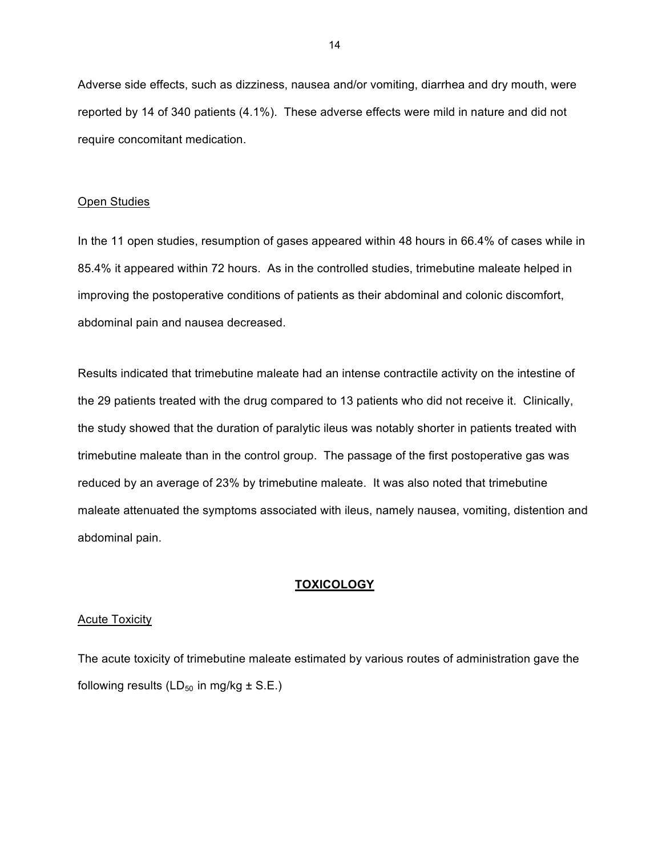Adverse side effects, such as dizziness, nausea and/or vomiting, diarrhea and dry mouth, were reported by 14 of 340 patients (4.1%). These adverse effects were mild in nature and did not require concomitant medication.

## Open Studies

In the 11 open studies, resumption of gases appeared within 48 hours in 66.4% of cases while in 85.4% it appeared within 72 hours. As in the controlled studies, trimebutine maleate helped in improving the postoperative conditions of patients as their abdominal and colonic discomfort, abdominal pain and nausea decreased.

Results indicated that trimebutine maleate had an intense contractile activity on the intestine of the 29 patients treated with the drug compared to 13 patients who did not receive it. Clinically, the study showed that the duration of paralytic ileus was notably shorter in patients treated with trimebutine maleate than in the control group. The passage of the first postoperative gas was reduced by an average of 23% by trimebutine maleate. It was also noted that trimebutine maleate attenuated the symptoms associated with ileus, namely nausea, vomiting, distention and abdominal pain.

### **TOXICOLOGY**

### Acute Toxicity

The acute toxicity of trimebutine maleate estimated by various routes of administration gave the following results ( $LD_{50}$  in mg/kg  $\pm$  S.E.)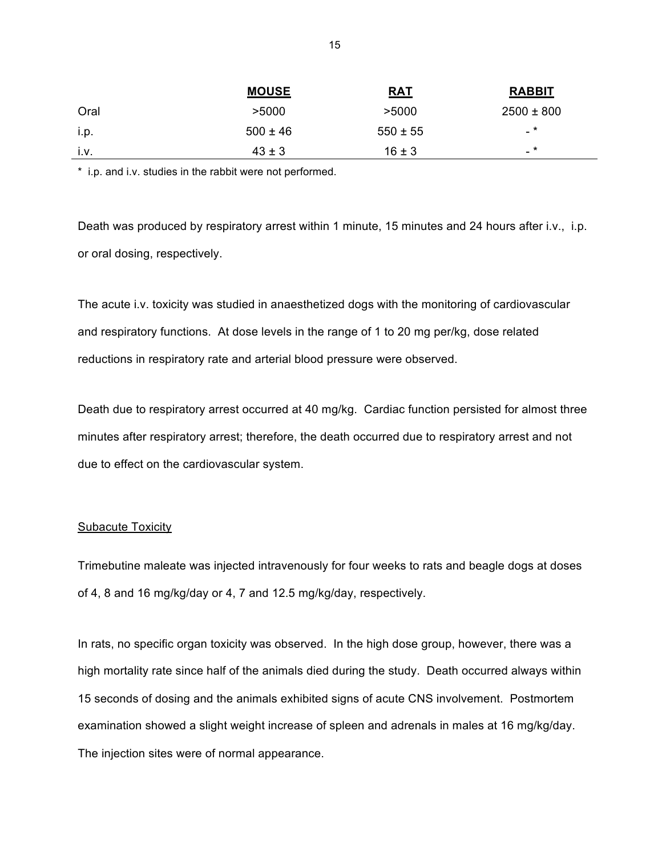|      | <b>MOUSE</b> | <b>RAT</b>   | <b>RABBIT</b>  |
|------|--------------|--------------|----------------|
| Oral | >5000        | >5000        | $2500 \pm 800$ |
| i.p. | $500 \pm 46$ | $550 \pm 55$ | $-$ *          |
| i.v. | $43 \pm 3$   | $16 \pm 3$   | $-$ *          |

\* i.p. and i.v. studies in the rabbit were not performed.

Death was produced by respiratory arrest within 1 minute, 15 minutes and 24 hours after i.v., i.p. or oral dosing, respectively.

The acute i.v. toxicity was studied in anaesthetized dogs with the monitoring of cardiovascular and respiratory functions. At dose levels in the range of 1 to 20 mg per/kg, dose related reductions in respiratory rate and arterial blood pressure were observed.

Death due to respiratory arrest occurred at 40 mg/kg. Cardiac function persisted for almost three minutes after respiratory arrest; therefore, the death occurred due to respiratory arrest and not due to effect on the cardiovascular system.

### Subacute Toxicity

Trimebutine maleate was injected intravenously for four weeks to rats and beagle dogs at doses of 4, 8 and 16 mg/kg/day or 4, 7 and 12.5 mg/kg/day, respectively.

In rats, no specific organ toxicity was observed. In the high dose group, however, there was a high mortality rate since half of the animals died during the study. Death occurred always within 15 seconds of dosing and the animals exhibited signs of acute CNS involvement. Postmortem examination showed a slight weight increase of spleen and adrenals in males at 16 mg/kg/day. The injection sites were of normal appearance.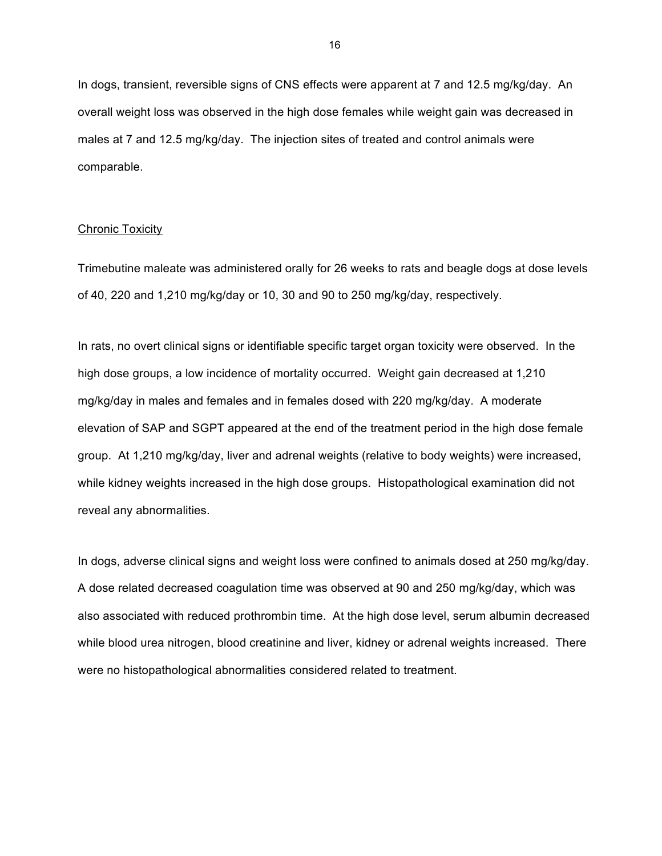In dogs, transient, reversible signs of CNS effects were apparent at 7 and 12.5 mg/kg/day. An overall weight loss was observed in the high dose females while weight gain was decreased in males at 7 and 12.5 mg/kg/day. The injection sites of treated and control animals were comparable.

#### **Chronic Toxicity**

Trimebutine maleate was administered orally for 26 weeks to rats and beagle dogs at dose levels of 40, 220 and 1,210 mg/kg/day or 10, 30 and 90 to 250 mg/kg/day, respectively.

In rats, no overt clinical signs or identifiable specific target organ toxicity were observed. In the high dose groups, a low incidence of mortality occurred. Weight gain decreased at 1,210 mg/kg/day in males and females and in females dosed with 220 mg/kg/day. A moderate elevation of SAP and SGPT appeared at the end of the treatment period in the high dose female group. At 1,210 mg/kg/day, liver and adrenal weights (relative to body weights) were increased, while kidney weights increased in the high dose groups. Histopathological examination did not reveal any abnormalities.

In dogs, adverse clinical signs and weight loss were confined to animals dosed at 250 mg/kg/day. A dose related decreased coagulation time was observed at 90 and 250 mg/kg/day, which was also associated with reduced prothrombin time. At the high dose level, serum albumin decreased while blood urea nitrogen, blood creatinine and liver, kidney or adrenal weights increased. There were no histopathological abnormalities considered related to treatment.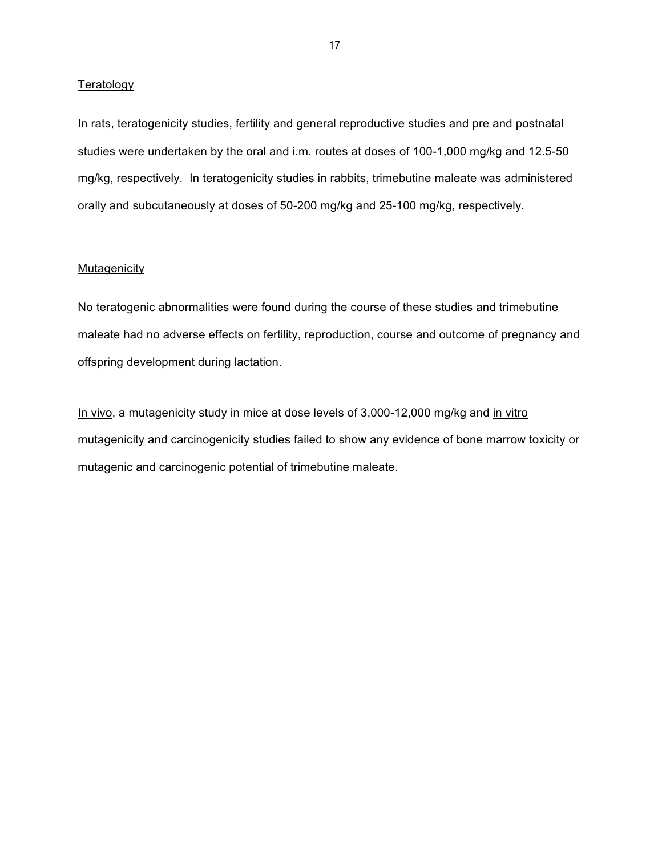## **Teratology**

In rats, teratogenicity studies, fertility and general reproductive studies and pre and postnatal studies were undertaken by the oral and i.m. routes at doses of 100-1,000 mg/kg and 12.5-50 mg/kg, respectively. In teratogenicity studies in rabbits, trimebutine maleate was administered orally and subcutaneously at doses of 50-200 mg/kg and 25-100 mg/kg, respectively.

### **Mutagenicity**

No teratogenic abnormalities were found during the course of these studies and trimebutine maleate had no adverse effects on fertility, reproduction, course and outcome of pregnancy and offspring development during lactation.

In vivo, a mutagenicity study in mice at dose levels of 3,000-12,000 mg/kg and in vitro mutagenicity and carcinogenicity studies failed to show any evidence of bone marrow toxicity or mutagenic and carcinogenic potential of trimebutine maleate.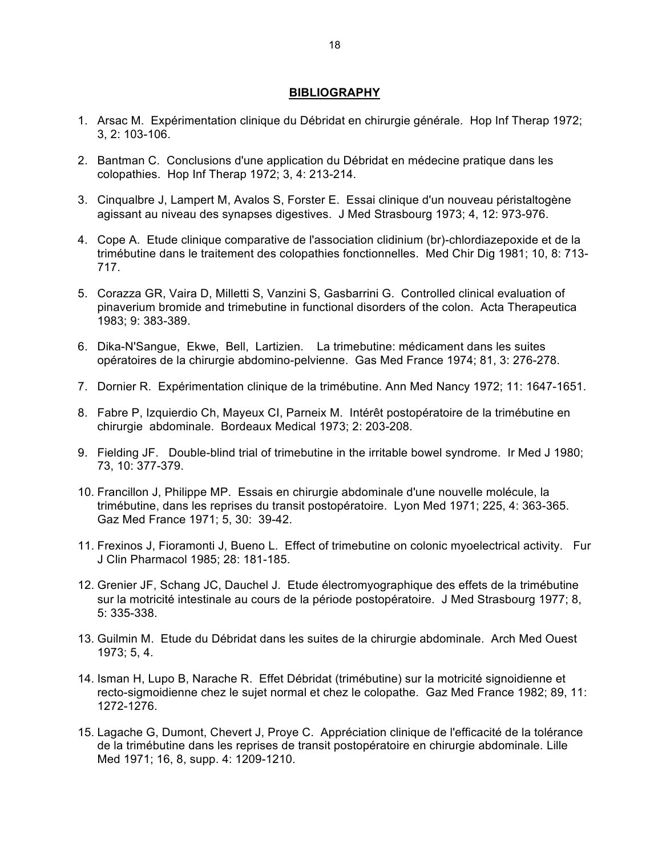## **BIBLIOGRAPHY**

- 1. Arsac M. Expérimentation clinique du Débridat en chirurgie générale. Hop Inf Therap 1972; 3, 2: 103-106.
- 2. Bantman C. Conclusions d'une application du Débridat en médecine pratique dans les colopathies. Hop Inf Therap 1972; 3, 4: 213-214.
- 3. Cinqualbre J, Lampert M, Avalos S, Forster E. Essai clinique d'un nouveau péristaltogène agissant au niveau des synapses digestives. J Med Strasbourg 1973; 4, 12: 973-976.
- 4. Cope A. Etude clinique comparative de l'association clidinium (br)-chlordiazepoxide et de la trimébutine dans le traitement des colopathies fonctionnelles. Med Chir Dig 1981; 10, 8: 713- 717.
- 5. Corazza GR, Vaira D, Milletti S, Vanzini S, Gasbarrini G. Controlled clinical evaluation of pinaverium bromide and trimebutine in functional disorders of the colon. Acta Therapeutica 1983; 9: 383-389.
- 6. Dika-N'Sangue, Ekwe, Bell, Lartizien. La trimebutine: médicament dans les suites opératoires de la chirurgie abdomino-pelvienne. Gas Med France 1974; 81, 3: 276-278.
- 7. Dornier R. Expérimentation clinique de la trimébutine. Ann Med Nancy 1972; 11: 1647-1651.
- 8. Fabre P, Izquierdio Ch, Mayeux CI, Parneix M. Intérêt postopératoire de la trimébutine en chirurgie abdominale. Bordeaux Medical 1973; 2: 203-208.
- 9. Fielding JF. Double-blind trial of trimebutine in the irritable bowel syndrome. Ir Med J 1980; 73, 10: 377-379.
- 10. Francillon J, Philippe MP. Essais en chirurgie abdominale d'une nouvelle molécule, la trimébutine, dans les reprises du transit postopératoire. Lyon Med 1971; 225, 4: 363-365. Gaz Med France 1971; 5, 30: 39-42.
- 11. Frexinos J, Fioramonti J, Bueno L. Effect of trimebutine on colonic myoelectrical activity. Fur J Clin Pharmacol 1985; 28: 181-185.
- 12. Grenier JF, Schang JC, Dauchel J. Etude électromyographique des effets de la trimébutine sur la motricité intestinale au cours de la période postopératoire. J Med Strasbourg 1977; 8, 5: 335-338.
- 13. Guilmin M. Etude du Débridat dans les suites de la chirurgie abdominale. Arch Med Ouest 1973; 5, 4.
- 14. Isman H, Lupo B, Narache R. Effet Débridat (trimébutine) sur la motricité signoidienne et recto-sigmoidienne chez le sujet normal et chez le colopathe. Gaz Med France 1982; 89, 11: 1272-1276.
- 15. Lagache G, Dumont, Chevert J, Proye C. Appréciation clinique de l'efficacité de la tolérance de la trimébutine dans les reprises de transit postopératoire en chirurgie abdominale. Lille Med 1971; 16, 8, supp. 4: 1209-1210.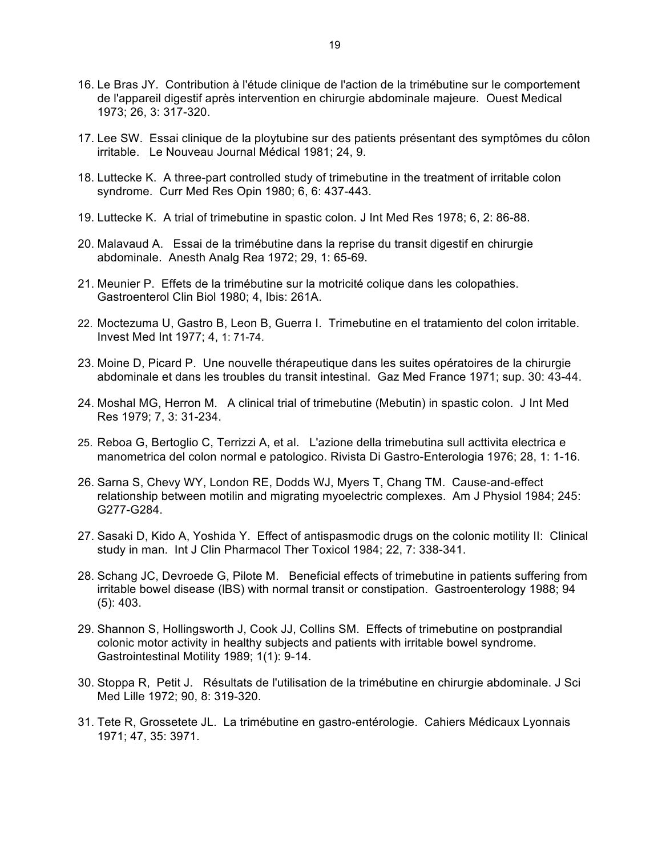- 16. Le Bras JY. Contribution à l'étude clinique de l'action de la trimébutine sur le comportement de l'appareil digestif après intervention en chirurgie abdominale majeure. Ouest Medical 1973; 26, 3: 317-320.
- 17. Lee SW. Essai clinique de la ploytubine sur des patients présentant des symptômes du côlon irritable. Le Nouveau Journal Médical 1981; 24, 9.
- 18. Luttecke K. A three-part controlled study of trimebutine in the treatment of irritable colon syndrome. Curr Med Res Opin 1980; 6, 6: 437-443.
- 19. Luttecke K. A trial of trimebutine in spastic colon. J Int Med Res 1978; 6, 2: 86-88.
- 20. Malavaud A. Essai de la trimébutine dans la reprise du transit digestif en chirurgie abdominale. Anesth Analg Rea 1972; 29, 1: 65-69.
- 21. Meunier P. Effets de la trimébutine sur la motricité colique dans les colopathies. Gastroenterol Clin Biol 1980; 4, Ibis: 261A.
- 22. Moctezuma U, Gastro B, Leon B, Guerra I. Trimebutine en el tratamiento del colon irritable. Invest Med Int 1977; 4, 1: 71-74.
- 23. Moine D, Picard P. Une nouvelle thérapeutique dans les suites opératoires de la chirurgie abdominale et dans les troubles du transit intestinal. Gaz Med France 1971; sup. 30: 43-44.
- 24. Moshal MG, Herron M. A clinical trial of trimebutine (Mebutin) in spastic colon. J Int Med Res 1979; 7, 3: 31-234.
- 25. Reboa G, Bertoglio C, Terrizzi A, et al. L'azione della trimebutina sull acttivita electrica e manometrica del colon normal e patologico. Rivista Di Gastro-Enterologia 1976; 28, 1: 1-16.
- 26. Sarna S, Chevy WY, London RE, Dodds WJ, Myers T, Chang TM. Cause-and-effect relationship between motilin and migrating myoelectric complexes. Am J Physiol 1984; 245: G277-G284.
- 27. Sasaki D, Kido A, Yoshida Y. Effect of antispasmodic drugs on the colonic motility II: Clinical study in man. Int J Clin Pharmacol Ther Toxicol 1984; 22, 7: 338-341.
- 28. Schang JC, Devroede G, Pilote M. Beneficial effects of trimebutine in patients suffering from irritable bowel disease (lBS) with normal transit or constipation. Gastroenterology 1988; 94 (5): 403.
- 29. Shannon S, Hollingsworth J, Cook JJ, Collins SM. Effects of trimebutine on postprandial colonic motor activity in healthy subjects and patients with irritable bowel syndrome. Gastrointestinal Motility 1989; 1(1): 9-14.
- 30. Stoppa R, Petit J. Résultats de l'utilisation de la trimébutine en chirurgie abdominale. J Sci Med Lille 1972; 90, 8: 319-320.
- 31. Tete R, Grossetete JL. La trimébutine en gastro-entérologie. Cahiers Médicaux Lyonnais 1971; 47, 35: 3971.